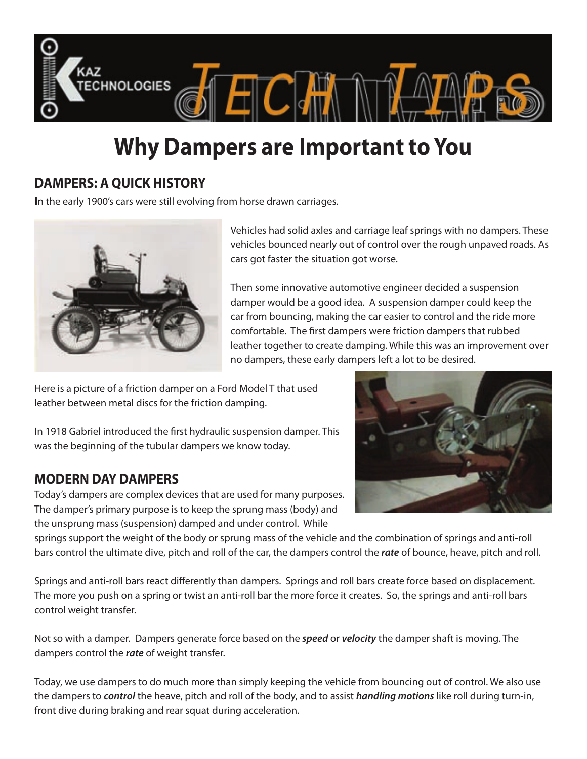

# **Why Dampers are Important to You**

## **DAMPERS: A QUICK HISTORY**

**I**n the early 1900's cars were still evolving from horse drawn carriages.



Vehicles had solid axles and carriage leaf springs with no dampers. These vehicles bounced nearly out of control over the rough unpaved roads. As cars got faster the situation got worse.

Then some innovative automotive engineer decided a suspension damper would be a good idea. A suspension damper could keep the car from bouncing, making the car easier to control and the ride more comfortable. The first dampers were friction dampers that rubbed leather together to create damping. While this was an improvement over no dampers, these early dampers left a lot to be desired.

Here is a picture of a friction damper on a Ford Model T that used leather between metal discs for the friction damping.

In 1918 Gabriel introduced the first hydraulic suspension damper. This was the beginning of the tubular dampers we know today.

## **MODERN DAY DAMPERS**

Today's dampers are complex devices that are used for many purposes. The damper's primary purpose is to keep the sprung mass (body) and the unsprung mass (suspension) damped and under control. While



springs support the weight of the body or sprung mass of the vehicle and the combination of springs and anti-roll bars control the ultimate dive, pitch and roll of the car, the dampers control the *rate* of bounce, heave, pitch and roll.

Springs and anti-roll bars react differently than dampers. Springs and roll bars create force based on displacement. The more you push on a spring or twist an anti-roll bar the more force it creates. So, the springs and anti-roll bars control weight transfer.

Not so with a damper. Dampers generate force based on the *speed* or *velocity* the damper shaft is moving. The dampers control the *rate* of weight transfer.

Today, we use dampers to do much more than simply keeping the vehicle from bouncing out of control. We also use the dampers to *control* the heave, pitch and roll of the body, and to assist *handling motions* like roll during turn-in, front dive during braking and rear squat during acceleration.